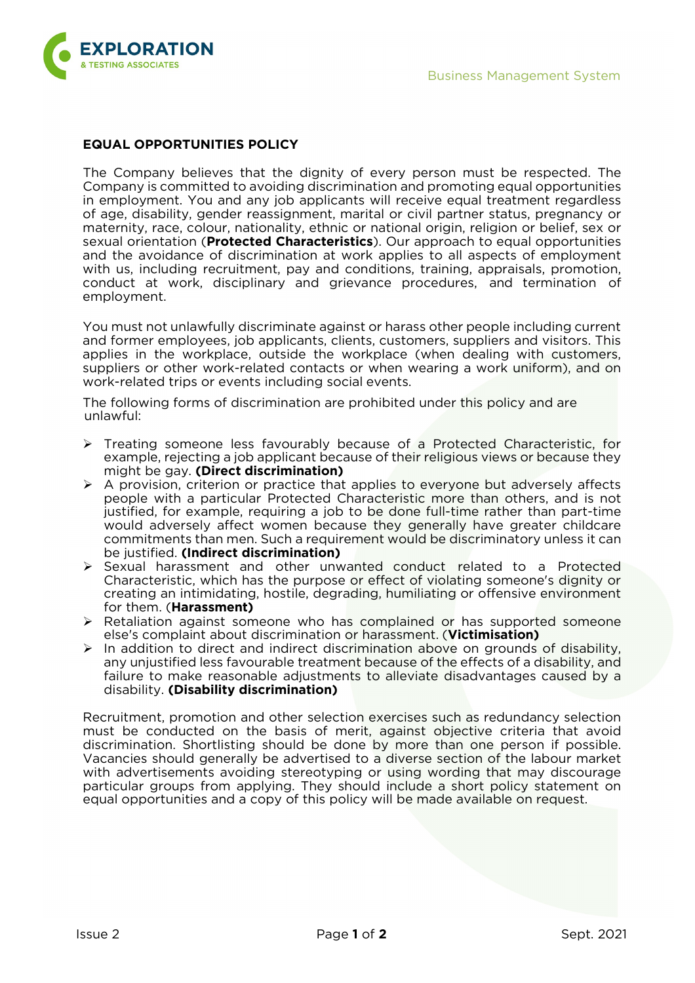

## **EQUAL OPPORTUNITIES POLICY**

The Company believes that the dignity of every person must be respected. The Company is committed to avoiding discrimination and promoting equal opportunities in employment. You and any job applicants will receive equal treatment regardless of age, disability, gender reassignment, marital or civil partner status, pregnancy or maternity, race, colour, nationality, ethnic or national origin, religion or belief, sex or sexual orientation (**Protected Characteristics**). Our approach to equal opportunities and the avoidance of discrimination at work applies to all aspects of employment with us, including recruitment, pay and conditions, training, appraisals, promotion, conduct at work, disciplinary and grievance procedures, and termination of employment.

You must not unlawfully discriminate against or harass other people including current and former employees, job applicants, clients, customers, suppliers and visitors. This applies in the workplace, outside the workplace (when dealing with customers, suppliers or other work-related contacts or when wearing a work uniform), and on work-related trips or events including social events.

The following forms of discrimination are prohibited under this policy and are unlawful:

- $\triangleright$  Treating someone less favourably because of a Protected Characteristic, for example, rejecting a job applicant because of their religious views or because they might be gay. **(Direct discrimination)**
- A provision, criterion or practice that applies to everyone but adversely affects people with a particular Protected Characteristic more than others, and is not justified, for example, requiring a job to be done full-time rather than part-time would adversely affect women because they generally have greater childcare commitments than men. Such a requirement would be discriminatory unless it can be justified. **(Indirect discrimination)**
- $\triangleright$  Sexual harassment and other unwanted conduct related to a Protected Characteristic, which has the purpose or effect of violating someone's dignity or creating an intimidating, hostile, degrading, humiliating or offensive environment for them. (**Harassment)**
- $\triangleright$  Retaliation against someone who has complained or has supported someone else's complaint about discrimination or harassment. (**Victimisation)**
- $\triangleright$  In addition to direct and indirect discrimination above on grounds of disability, any unjustified less favourable treatment because of the effects of a disability, and failure to make reasonable adjustments to alleviate disadvantages caused by a disability. **(Disability discrimination)**

Recruitment, promotion and other selection exercises such as redundancy selection must be conducted on the basis of merit, against objective criteria that avoid discrimination. Shortlisting should be done by more than one person if possible. Vacancies should generally be advertised to a diverse section of the labour market with advertisements avoiding stereotyping or using wording that may discourage particular groups from applying. They should include a short policy statement on equal opportunities and a copy of this policy will be made available on request.